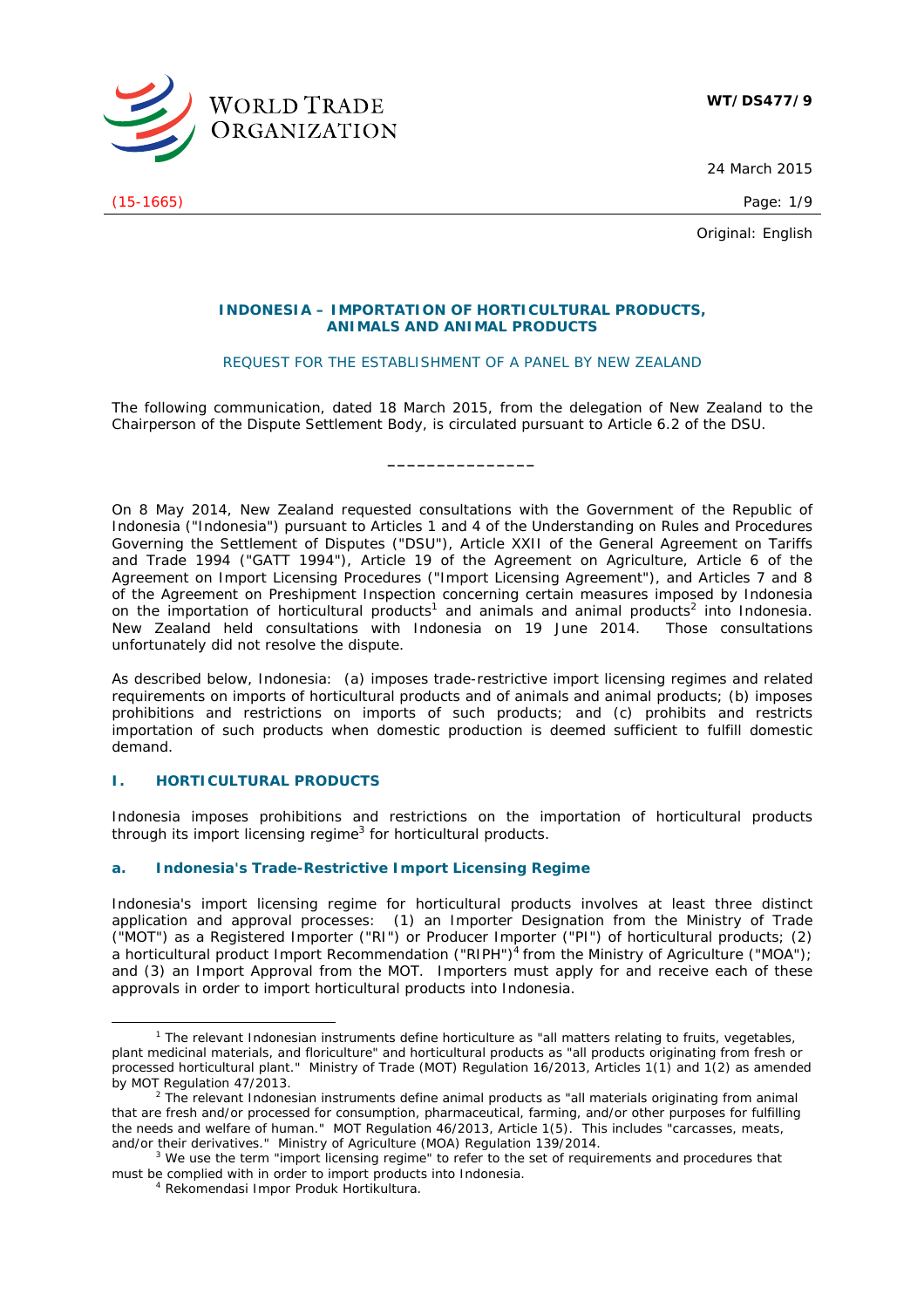

24 March 2015

(15-1665) Page: 1/9

Original: English

### **INDONESIA – IMPORTATION OF HORTICULTURAL PRODUCTS, ANIMALS AND ANIMAL PRODUCTS**

# REQUEST FOR THE ESTABLISHMENT OF A PANEL BY NEW ZEALAND

The following communication, dated 18 March 2015, from the delegation of New Zealand to the Chairperson of the Dispute Settlement Body, is circulated pursuant to Article 6.2 of the DSU.

**\_\_\_\_\_\_\_\_\_\_\_\_\_\_\_** 

On 8 May 2014, New Zealand requested consultations with the Government of the Republic of Indonesia ("Indonesia") pursuant to Articles 1 and 4 of the *Understanding on Rules and Procedures Governing the Settlement of Disputes* ("DSU"), Article XXII of the *General Agreement on Tariffs and Trade 1994* ("GATT 1994"), Article 19 of the *Agreement on Agriculture*, Article 6 of the *Agreement on Import Licensing Procedures* ("Import Licensing Agreement"), and Articles 7 and 8 of the *Agreement on Preshipment Inspection* concerning certain measures imposed by Indonesia on the importation of horticultural products<sup>1</sup> and animals and animal products<sup>2</sup> into Indonesia. New Zealand held consultations with Indonesia on 19 June 2014. Those consultations unfortunately did not resolve the dispute.

As described below, Indonesia: (a) imposes trade-restrictive import licensing regimes and related requirements on imports of horticultural products and of animals and animal products; (b) imposes prohibitions and restrictions on imports of such products; and (c) prohibits and restricts importation of such products when domestic production is deemed sufficient to fulfill domestic demand.

# **I. HORTICULTURAL PRODUCTS**

Indonesia imposes prohibitions and restrictions on the importation of horticultural products through its import licensing regime<sup>3</sup> for horticultural products.

# **a. Indonesia's Trade-Restrictive Import Licensing Regime**

Indonesia's import licensing regime for horticultural products involves at least three distinct application and approval processes: (1) an Importer Designation from the Ministry of Trade ("MOT") as a Registered Importer ("RI") or Producer Importer ("PI") of horticultural products; (2) a horticultural product Import Recommendation ("RIPH")<sup>4</sup> from the Ministry of Agriculture ("MOA"); and (3) an Import Approval from the MOT. Importers must apply for and receive each of these approvals in order to import horticultural products into Indonesia.

 $\frac{1}{1}$  $1$  The relevant Indonesian instruments define horticulture as "all matters relating to fruits, vegetables, plant medicinal materials, and floriculture" and horticultural products as "all products originating from fresh or processed horticultural plant." Ministry of Trade (MOT) Regulation 16/2013, Articles 1(1) and 1(2) as amended by MOT Regulation 47/2013.

 $2$  The relevant Indonesian instruments define animal products as "all materials originating from animal that are fresh and/or processed for consumption, pharmaceutical, farming, and/or other purposes for fulfilling the needs and welfare of human." MOT Regulation 46/2013, Article 1(5). This includes "carcasses, meats, and/or their derivatives." Ministry of Agriculture (MOA) Regulation 139/2014.

<sup>&</sup>lt;sup>3</sup> We use the term "import licensing regime" to refer to the set of requirements and procedures that must be complied with in order to import products into Indonesia. 4 *Rekomendasi Impor Produk Hortikultura.*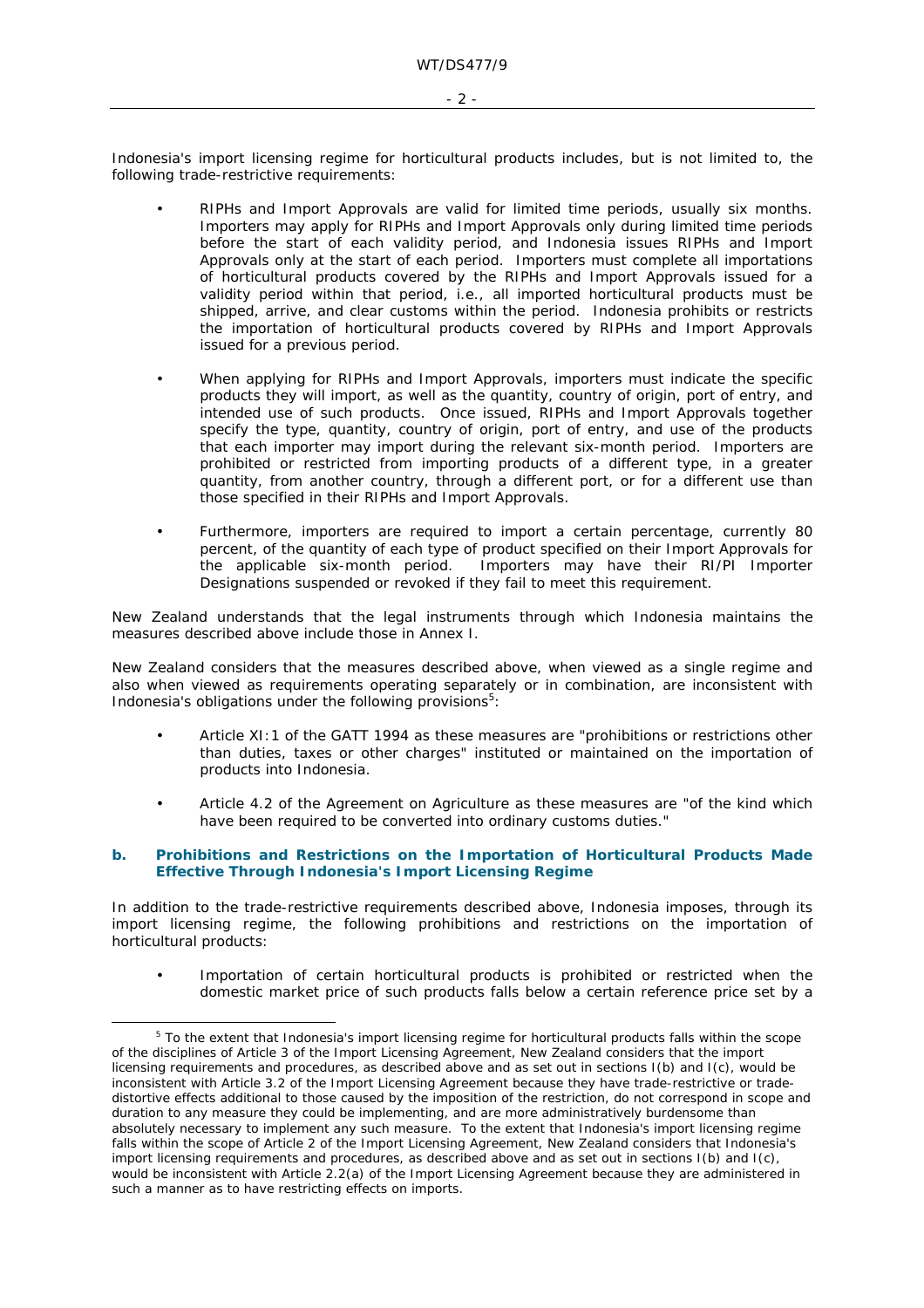Indonesia's import licensing regime for horticultural products includes, but is not limited to, the following trade-restrictive requirements:

- RIPHs and Import Approvals are valid for limited time periods, usually six months. Importers may apply for RIPHs and Import Approvals only during limited time periods before the start of each validity period, and Indonesia issues RIPHs and Import Approvals only at the start of each period. Importers must complete all importations of horticultural products covered by the RIPHs and Import Approvals issued for a validity period within that period, *i.e.*, all imported horticultural products must be shipped, arrive, and clear customs within the period. Indonesia prohibits or restricts the importation of horticultural products covered by RIPHs and Import Approvals issued for a previous period.
- When applying for RIPHs and Import Approvals, importers must indicate the specific products they will import, as well as the quantity, country of origin, port of entry, and intended use of such products. Once issued, RIPHs and Import Approvals together specify the type, quantity, country of origin, port of entry, and use of the products that each importer may import during the relevant six-month period. Importers are prohibited or restricted from importing products of a different type, in a greater quantity, from another country, through a different port, or for a different use than those specified in their RIPHs and Import Approvals.
- Furthermore, importers are required to import a certain percentage, currently 80 percent, of the quantity of each type of product specified on their Import Approvals for the applicable six-month period. Importers may have their RI/PI Importer Designations suspended or revoked if they fail to meet this requirement.

New Zealand understands that the legal instruments through which Indonesia maintains the measures described above include those in Annex I.

New Zealand considers that the measures described above, when viewed as a single regime and also when viewed as requirements operating separately or in combination, are inconsistent with Indonesia's obligations under the following provisions $5$ :

- Article XI:1 of the GATT 1994 as these measures are "prohibitions or restrictions other than duties, taxes or other charges" instituted or maintained on the importation of products into Indonesia.
- Article 4.2 of the Agreement on Agriculture as these measures are "of the kind which have been required to be converted into ordinary customs duties."

# **b. Prohibitions and Restrictions on the Importation of Horticultural Products Made Effective Through Indonesia's Import Licensing Regime**

In addition to the trade-restrictive requirements described above, Indonesia imposes, through its import licensing regime, the following prohibitions and restrictions on the importation of horticultural products:

• Importation of certain horticultural products is prohibited or restricted when the domestic market price of such products falls below a certain reference price set by a

- 2 -

 $\frac{1}{5}$ <sup>5</sup> To the extent that Indonesia's import licensing regime for horticultural products falls within the scope of the disciplines of Article 3 of the Import Licensing Agreement, New Zealand considers that the import licensing requirements and procedures, as described above and as set out in sections I(b) and I(c), would be inconsistent with Article 3.2 of the Import Licensing Agreement because they have trade-restrictive or tradedistortive effects additional to those caused by the imposition of the restriction, do not correspond in scope and duration to any measure they could be implementing, and are more administratively burdensome than absolutely necessary to implement any such measure. To the extent that Indonesia's import licensing regime falls within the scope of Article 2 of the Import Licensing Agreement, New Zealand considers that Indonesia's import licensing requirements and procedures, as described above and as set out in sections I(b) and I(c), would be inconsistent with Article 2.2(a) of the Import Licensing Agreement because they are administered in such a manner as to have restricting effects on imports.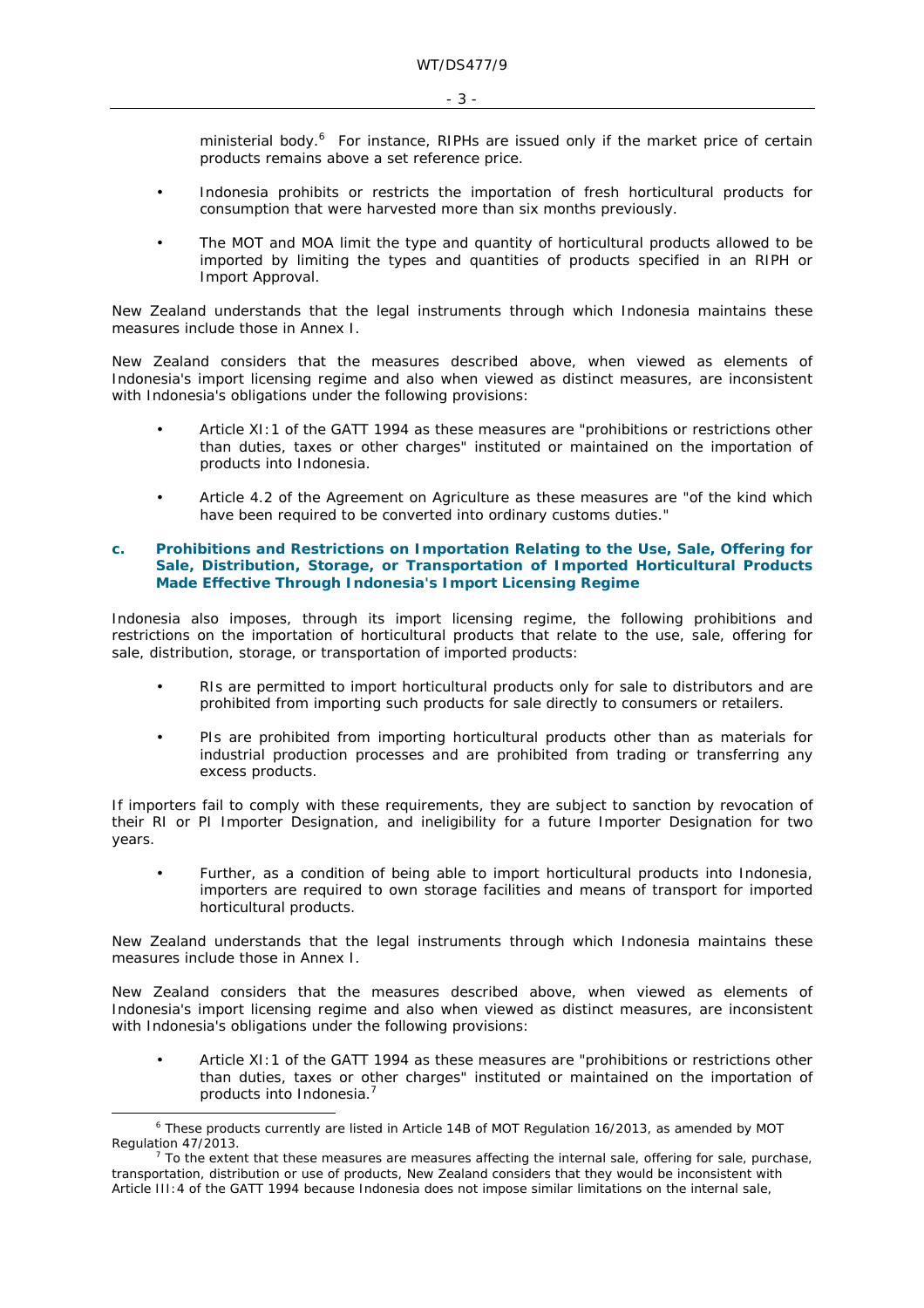ministerial body.<sup>6</sup> For instance, RIPHs are issued only if the market price of certain products remains above a set reference price.

- Indonesia prohibits or restricts the importation of fresh horticultural products for consumption that were harvested more than six months previously.
- The MOT and MOA limit the type and quantity of horticultural products allowed to be imported by limiting the types and quantities of products specified in an RIPH or Import Approval.

New Zealand understands that the legal instruments through which Indonesia maintains these measures include those in Annex I.

New Zealand considers that the measures described above, when viewed as elements of Indonesia's import licensing regime and also when viewed as distinct measures, are inconsistent with Indonesia's obligations under the following provisions:

- Article XI:1 of the GATT 1994 as these measures are "prohibitions or restrictions other than duties, taxes or other charges" instituted or maintained on the importation of products into Indonesia.
- Article 4.2 of the Agreement on Agriculture as these measures are "of the kind which have been required to be converted into ordinary customs duties."

# **c. Prohibitions and Restrictions on Importation Relating to the Use, Sale, Offering for Sale, Distribution, Storage, or Transportation of Imported Horticultural Products Made Effective Through Indonesia's Import Licensing Regime**

Indonesia also imposes, through its import licensing regime, the following prohibitions and restrictions on the importation of horticultural products that relate to the use, sale, offering for sale, distribution, storage, or transportation of imported products:

- RIs are permitted to import horticultural products only for sale to distributors and are prohibited from importing such products for sale directly to consumers or retailers.
- PIs are prohibited from importing horticultural products other than as materials for industrial production processes and are prohibited from trading or transferring any excess products.

If importers fail to comply with these requirements, they are subject to sanction by revocation of their RI or PI Importer Designation, and ineligibility for a future Importer Designation for two years.

• Further, as a condition of being able to import horticultural products into Indonesia, importers are required to own storage facilities and means of transport for imported horticultural products.

New Zealand understands that the legal instruments through which Indonesia maintains these measures include those in Annex I.

New Zealand considers that the measures described above, when viewed as elements of Indonesia's import licensing regime and also when viewed as distinct measures, are inconsistent with Indonesia's obligations under the following provisions:

Article XI:1 of the GATT 1994 as these measures are "prohibitions or restrictions other than duties, taxes or other charges" instituted or maintained on the importation of products into Indonesia.<sup>7</sup>

 $\overline{\phantom{0}}$  These products currently are listed in Article 14B of MOT Regulation 16/2013, as amended by MOT Regulation 47/2013.

 $7$  To the extent that these measures are measures affecting the internal sale, offering for sale, purchase, transportation, distribution or use of products, New Zealand considers that they would be inconsistent with Article III:4 of the GATT 1994 because Indonesia does not impose similar limitations on the internal sale,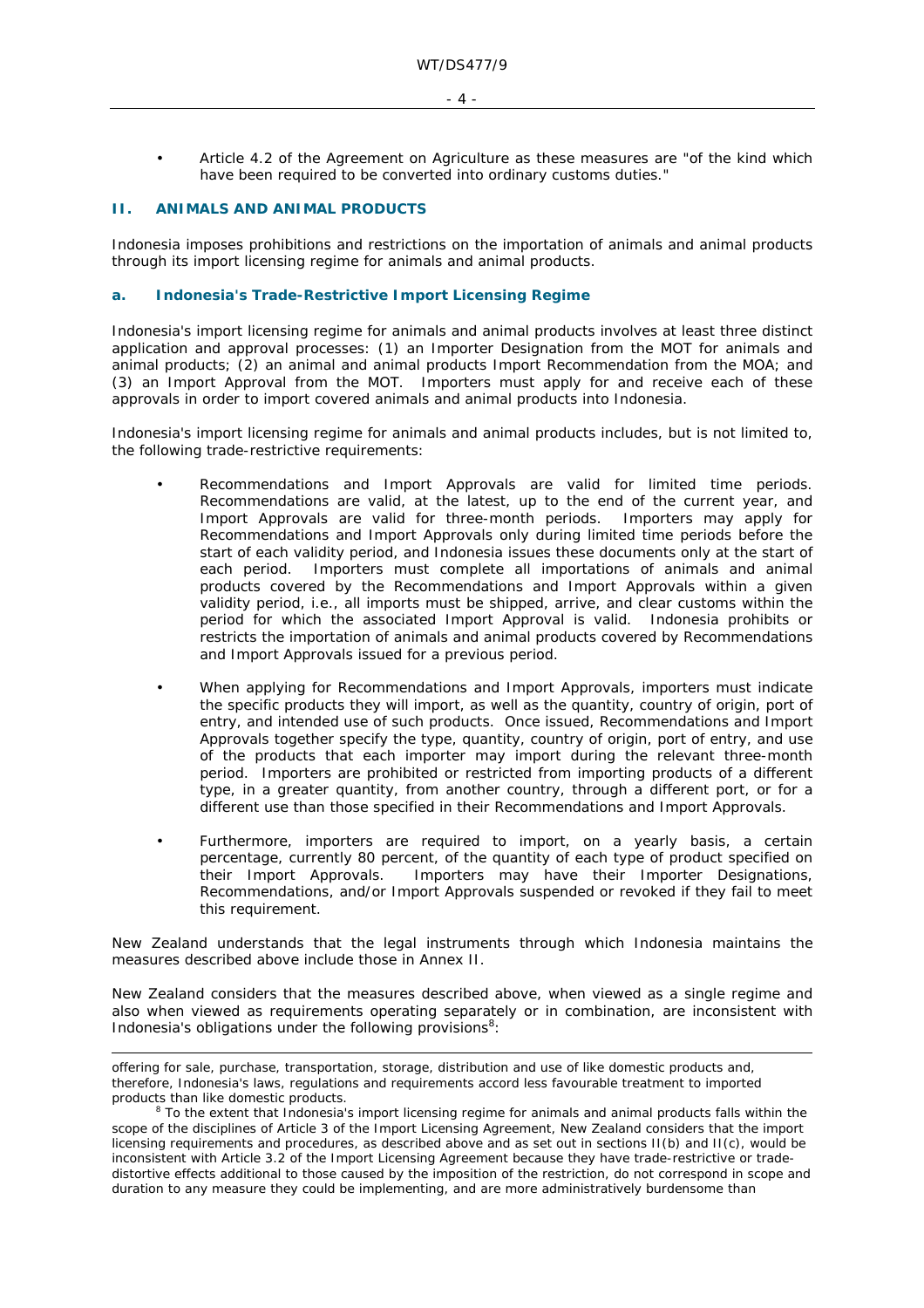- $-4 -$
- Article 4.2 of the Agreement on Agriculture as these measures are "of the kind which have been required to be converted into ordinary customs duties."

# **II. ANIMALS AND ANIMAL PRODUCTS**

ł

Indonesia imposes prohibitions and restrictions on the importation of animals and animal products through its import licensing regime for animals and animal products.

# **a. Indonesia's Trade-Restrictive Import Licensing Regime**

Indonesia's import licensing regime for animals and animal products involves at least three distinct application and approval processes: (1) an Importer Designation from the MOT for animals and animal products; (2) an animal and animal products Import Recommendation from the MOA; and (3) an Import Approval from the MOT. Importers must apply for and receive each of these approvals in order to import covered animals and animal products into Indonesia.

Indonesia's import licensing regime for animals and animal products includes, but is not limited to, the following trade-restrictive requirements:

- Recommendations and Import Approvals are valid for limited time periods. Recommendations are valid, at the latest, up to the end of the current year, and Import Approvals are valid for three-month periods. Importers may apply for Recommendations and Import Approvals only during limited time periods before the start of each validity period, and Indonesia issues these documents only at the start of each period. Importers must complete all importations of animals and animal products covered by the Recommendations and Import Approvals within a given validity period, *i.e.*, all imports must be shipped, arrive, and clear customs within the period for which the associated Import Approval is valid. Indonesia prohibits or restricts the importation of animals and animal products covered by Recommendations and Import Approvals issued for a previous period.
- When applying for Recommendations and Import Approvals, importers must indicate the specific products they will import, as well as the quantity, country of origin, port of entry, and intended use of such products. Once issued, Recommendations and Import Approvals together specify the type, quantity, country of origin, port of entry, and use of the products that each importer may import during the relevant three-month period. Importers are prohibited or restricted from importing products of a different type, in a greater quantity, from another country, through a different port, or for a different use than those specified in their Recommendations and Import Approvals.
- Furthermore, importers are required to import, on a yearly basis, a certain percentage, currently 80 percent, of the quantity of each type of product specified on their Import Approvals. Importers may have their Importer Designations, Recommendations, and/or Import Approvals suspended or revoked if they fail to meet this requirement.

New Zealand understands that the legal instruments through which Indonesia maintains the measures described above include those in Annex II.

New Zealand considers that the measures described above, when viewed as a single regime and also when viewed as requirements operating separately or in combination, are inconsistent with Indonesia's obligations under the following provisions $8$ :

offering for sale, purchase, transportation, storage, distribution and use of like domestic products and, therefore, Indonesia's laws, regulations and requirements accord less favourable treatment to imported products than like domestic products. 8

<sup>&</sup>lt;sup>8</sup> To the extent that Indonesia's import licensing regime for animals and animal products falls within the scope of the disciplines of Article 3 of the Import Licensing Agreement, New Zealand considers that the import licensing requirements and procedures, as described above and as set out in sections II(b) and II(c), would be inconsistent with Article 3.2 of the Import Licensing Agreement because they have trade-restrictive or tradedistortive effects additional to those caused by the imposition of the restriction, do not correspond in scope and duration to any measure they could be implementing, and are more administratively burdensome than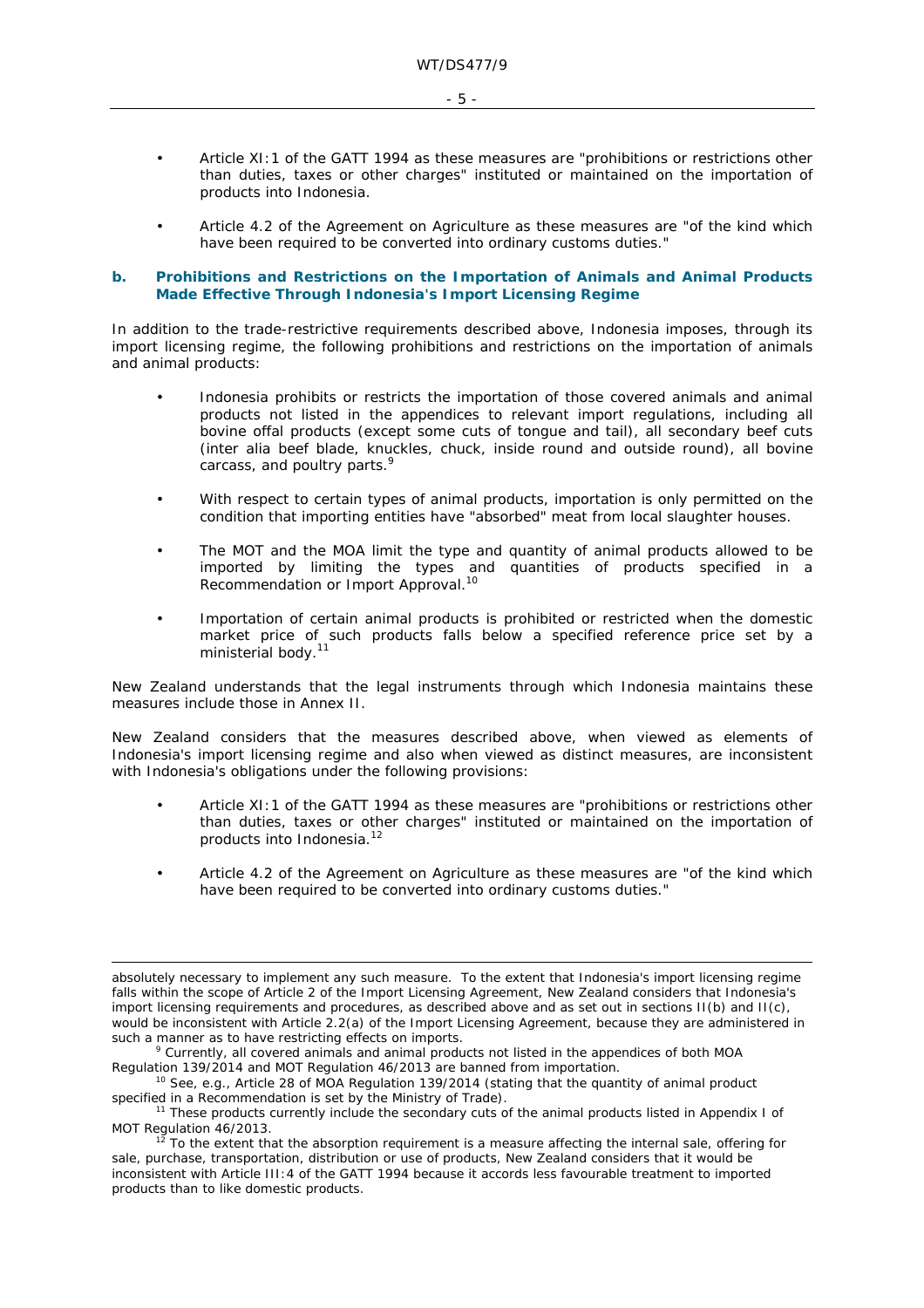- Article XI:1 of the GATT 1994 as these measures are "prohibitions or restrictions other than duties, taxes or other charges" instituted or maintained on the importation of products into Indonesia.
- Article 4.2 of the Agreement on Agriculture as these measures are "of the kind which have been required to be converted into ordinary customs duties."

### **b. Prohibitions and Restrictions on the Importation of Animals and Animal Products Made Effective Through Indonesia's Import Licensing Regime**

In addition to the trade-restrictive requirements described above, Indonesia imposes, through its import licensing regime, the following prohibitions and restrictions on the importation of animals and animal products:

- Indonesia prohibits or restricts the importation of those covered animals and animal products not listed in the appendices to relevant import regulations, including all bovine offal products (except some cuts of tongue and tail), all secondary beef cuts (*inter alia* beef blade, knuckles, chuck, inside round and outside round), all bovine carcass, and poultry parts.<sup>9</sup>
- With respect to certain types of animal products, importation is only permitted on the condition that importing entities have "absorbed" meat from local slaughter houses.
- The MOT and the MOA limit the type and quantity of animal products allowed to be imported by limiting the types and quantities of products specified in a Recommendation or Import Approval.<sup>10</sup>
- Importation of certain animal products is prohibited or restricted when the domestic market price of such products falls below a specified reference price set by a ministerial body.<sup>11</sup>

New Zealand understands that the legal instruments through which Indonesia maintains these measures include those in Annex II.

New Zealand considers that the measures described above, when viewed as elements of Indonesia's import licensing regime and also when viewed as distinct measures, are inconsistent with Indonesia's obligations under the following provisions:

- Article XI:1 of the GATT 1994 as these measures are "prohibitions or restrictions other than duties, taxes or other charges" instituted or maintained on the importation of products into Indonesia.12
- Article 4.2 of the Agreement on Agriculture as these measures are "of the kind which have been required to be converted into ordinary customs duties."

ł

absolutely necessary to implement any such measure. To the extent that Indonesia's import licensing regime falls within the scope of Article 2 of the Import Licensing Agreement, New Zealand considers that Indonesia's import licensing requirements and procedures, as described above and as set out in sections II(b) and II(c), would be inconsistent with Article 2.2(a) of the Import Licensing Agreement, because they are administered in such a manner as to have restricting effects on imports.

Currently, all covered animals and animal products not listed in the appendices of both MOA Regulation 139/2014 and MOT Regulation 46/2013 are banned from importation.<br><sup>10</sup> See, *e.g.*, Article 28 of MOA Regulation 139/2014 (stating that the quantity of animal product

specified in a Recommendation is set by the Ministry of Trade).<br><sup>11</sup> These products currently include the secondary cuts of the animal products listed in Appendix I of<br>MOT Regulation 46/2013.

To the extent that the absorption requirement is a measure affecting the internal sale, offering for sale, purchase, transportation, distribution or use of products, New Zealand considers that it would be inconsistent with Article III:4 of the GATT 1994 because it accords less favourable treatment to imported products than to like domestic products.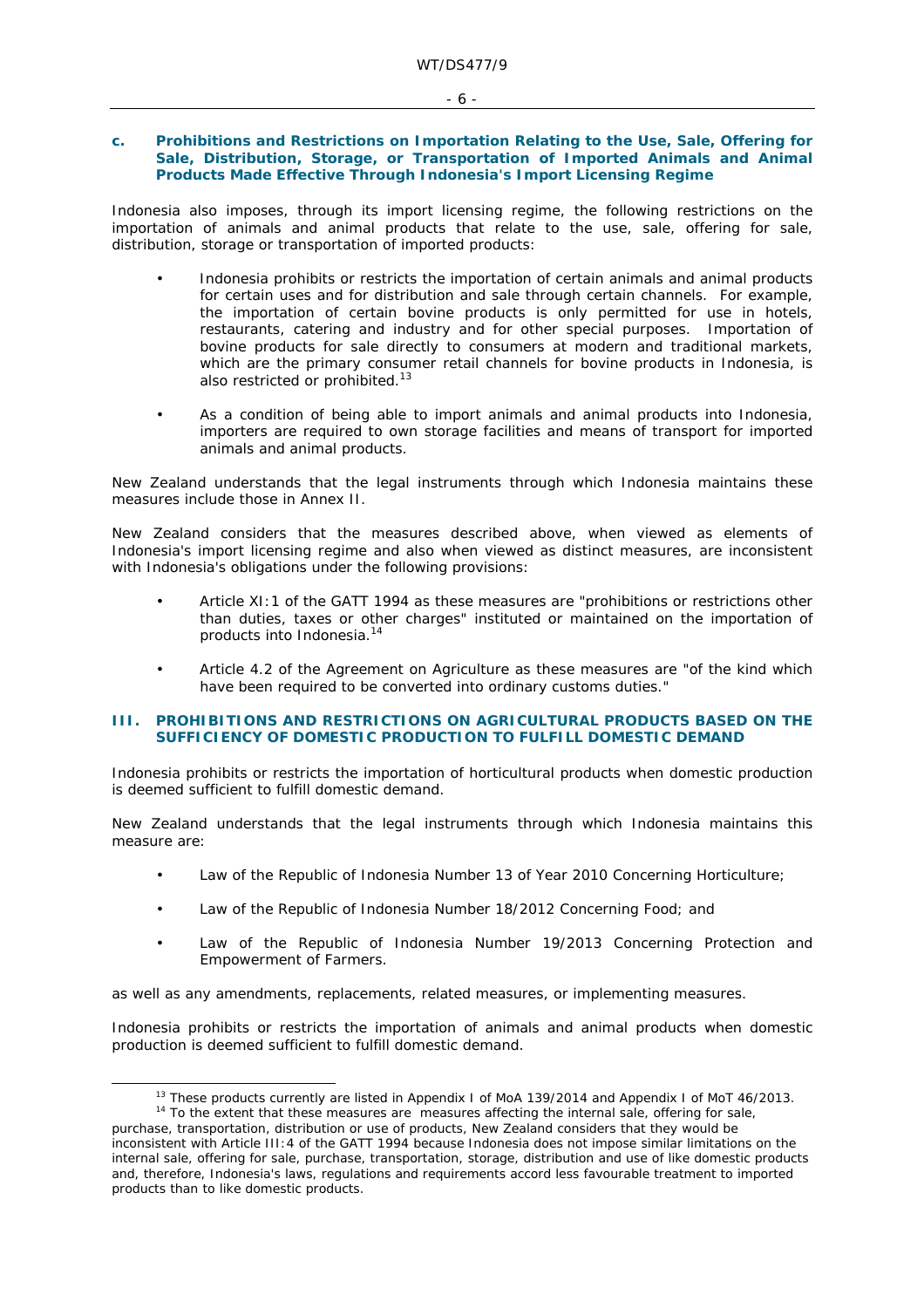# - 6 -

### **c. Prohibitions and Restrictions on Importation Relating to the Use, Sale, Offering for Sale, Distribution, Storage, or Transportation of Imported Animals and Animal Products Made Effective Through Indonesia's Import Licensing Regime**

Indonesia also imposes, through its import licensing regime, the following restrictions on the importation of animals and animal products that relate to the use, sale, offering for sale, distribution, storage or transportation of imported products:

- Indonesia prohibits or restricts the importation of certain animals and animal products for certain uses and for distribution and sale through certain channels. For example, the importation of certain bovine products is only permitted for use in hotels, restaurants, catering and industry and for other special purposes. Importation of bovine products for sale directly to consumers at modern and traditional markets, which are the primary consumer retail channels for bovine products in Indonesia, is also restricted or prohibited.<sup>13</sup>
- As a condition of being able to import animals and animal products into Indonesia, importers are required to own storage facilities and means of transport for imported animals and animal products.

New Zealand understands that the legal instruments through which Indonesia maintains these measures include those in Annex II.

New Zealand considers that the measures described above, when viewed as elements of Indonesia's import licensing regime and also when viewed as distinct measures, are inconsistent with Indonesia's obligations under the following provisions:

- Article XI:1 of the GATT 1994 as these measures are "prohibitions or restrictions other than duties, taxes or other charges" instituted or maintained on the importation of products into Indonesia.14
- Article 4.2 of the Agreement on Agriculture as these measures are "of the kind which have been required to be converted into ordinary customs duties."

#### **III. PROHIBITIONS AND RESTRICTIONS ON AGRICULTURAL PRODUCTS BASED ON THE SUFFICIENCY OF DOMESTIC PRODUCTION TO FULFILL DOMESTIC DEMAND**

Indonesia prohibits or restricts the importation of horticultural products when domestic production is deemed sufficient to fulfill domestic demand.

New Zealand understands that the legal instruments through which Indonesia maintains this measure are:

- Law of the Republic of Indonesia Number 13 of Year 2010 Concerning Horticulture;
- Law of the Republic of Indonesia Number 18/2012 Concerning Food; and
- Law of the Republic of Indonesia Number 19/2013 Concerning Protection and Empowerment of Farmers.

as well as any amendments, replacements, related measures, or implementing measures.

Indonesia prohibits or restricts the importation of animals and animal products when domestic production is deemed sufficient to fulfill domestic demand.

<sup>&</sup>lt;sup>13</sup> These products currently are listed in Appendix I of MoA 139/2014 and Appendix I of MoT 46/2013.<br><sup>14</sup> To the extent that these measures are measures affecting the internal sale, offering for sale,

purchase, transportation, distribution or use of products, New Zealand considers that they would be

inconsistent with Article III:4 of the GATT 1994 because Indonesia does not impose similar limitations on the internal sale, offering for sale, purchase, transportation, storage, distribution and use of like domestic products and, therefore, Indonesia's laws, regulations and requirements accord less favourable treatment to imported products than to like domestic products.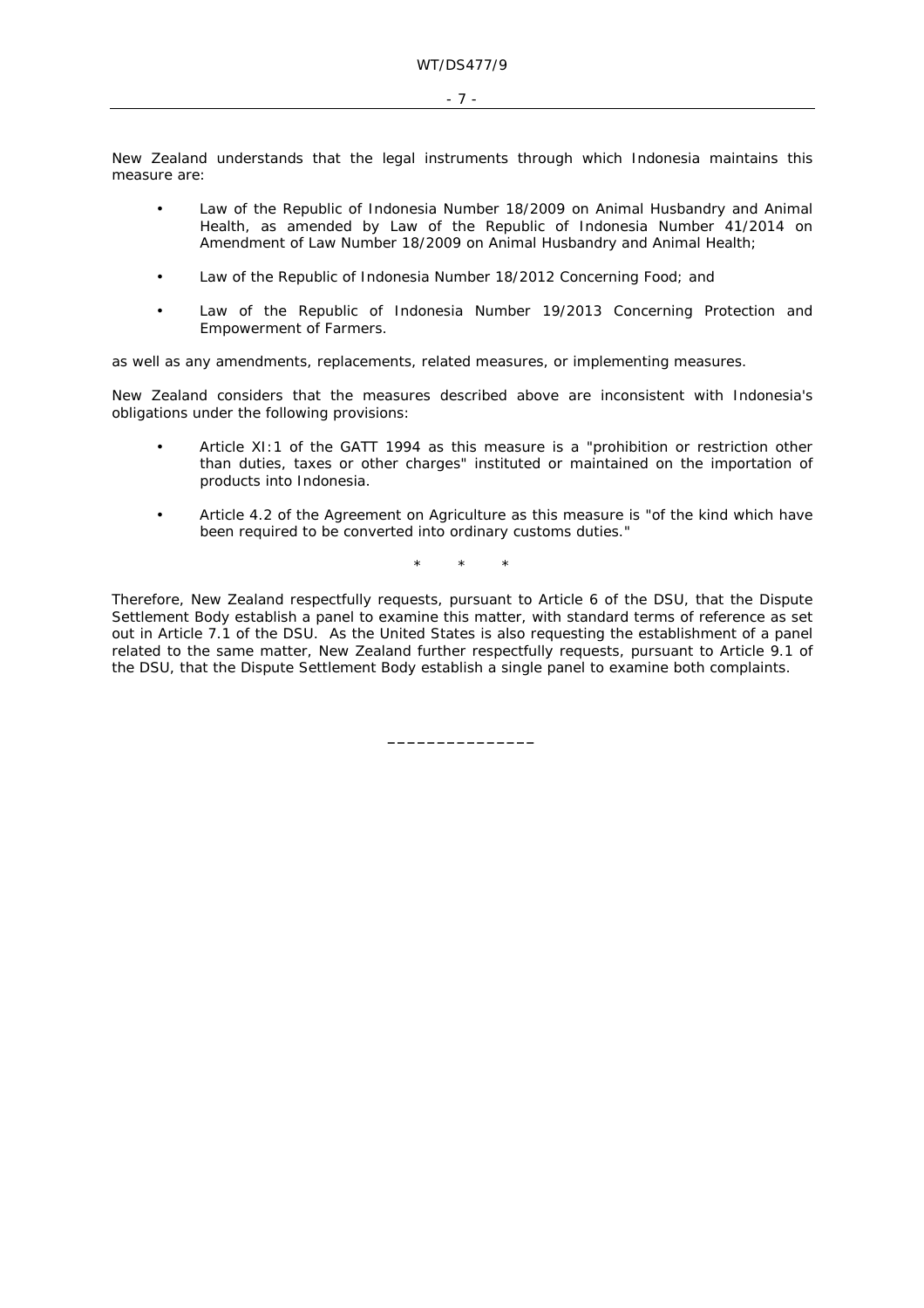- 7 -

New Zealand understands that the legal instruments through which Indonesia maintains this measure are:

- Law of the Republic of Indonesia Number 18/2009 on Animal Husbandry and Animal Health, as amended by Law of the Republic of Indonesia Number 41/2014 on Amendment of Law Number 18/2009 on Animal Husbandry and Animal Health;
- Law of the Republic of Indonesia Number 18/2012 Concerning Food; and
- Law of the Republic of Indonesia Number 19/2013 Concerning Protection and Empowerment of Farmers.

as well as any amendments, replacements, related measures, or implementing measures.

New Zealand considers that the measures described above are inconsistent with Indonesia's obligations under the following provisions:

- Article XI:1 of the GATT 1994 as this measure is a "prohibition or restriction other than duties, taxes or other charges" instituted or maintained on the importation of products into Indonesia.
- Article 4.2 of the Agreement on Agriculture as this measure is "of the kind which have been required to be converted into ordinary customs duties."

\* \* \*

Therefore, New Zealand respectfully requests, pursuant to Article 6 of the DSU, that the Dispute Settlement Body establish a panel to examine this matter, with standard terms of reference as set out in Article 7.1 of the DSU. As the United States is also requesting the establishment of a panel related to the same matter, New Zealand further respectfully requests, pursuant to Article 9.1 of the DSU, that the Dispute Settlement Body establish a single panel to examine both complaints.

**\_\_\_\_\_\_\_\_\_\_\_\_\_\_\_**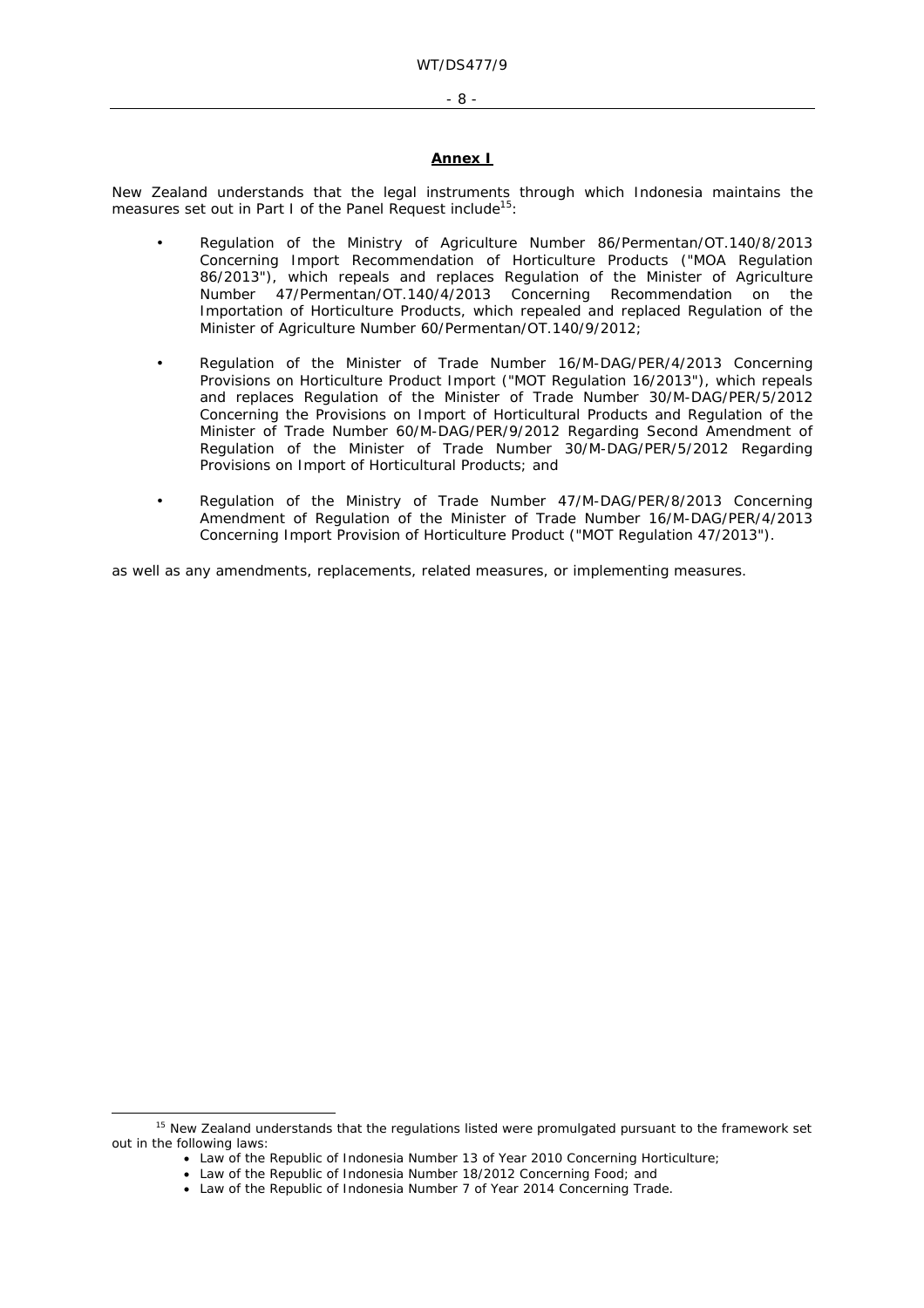#### - 8 -

# **Annex I**

New Zealand understands that the legal instruments through which Indonesia maintains the measures set out in Part I of the Panel Request include<sup>15</sup>:

- Regulation of the Ministry of Agriculture Number 86/Permentan/OT.140/8/2013 Concerning Import Recommendation of Horticulture Products ("MOA Regulation 86/2013"), which repeals and replaces Regulation of the Minister of Agriculture Number 47/Permentan/OT.140/4/2013 Concerning Recommendation on the Importation of Horticulture Products, which repealed and replaced Regulation of the Minister of Agriculture Number 60/Permentan/OT.140/9/2012;
- Regulation of the Minister of Trade Number 16/M-DAG/PER/4/2013 Concerning Provisions on Horticulture Product Import ("MOT Regulation 16/2013"), which repeals and replaces Regulation of the Minister of Trade Number 30/M-DAG/PER/5/2012 Concerning the Provisions on Import of Horticultural Products and Regulation of the Minister of Trade Number 60/M-DAG/PER/9/2012 Regarding Second Amendment of Regulation of the Minister of Trade Number 30/M-DAG/PER/5/2012 Regarding Provisions on Import of Horticultural Products; and
- Regulation of the Ministry of Trade Number 47/M-DAG/PER/8/2013 Concerning Amendment of Regulation of the Minister of Trade Number 16/M-DAG/PER/4/2013 Concerning Import Provision of Horticulture Product ("MOT Regulation 47/2013").

as well as any amendments, replacements, related measures, or implementing measures.

<sup>&</sup>lt;sup>15</sup> New Zealand understands that the regulations listed were promulgated pursuant to the framework set out in the following laws:

Law of the Republic of Indonesia Number 13 of Year 2010 Concerning Horticulture;

Law of the Republic of Indonesia Number 18/2012 Concerning Food; and

Law of the Republic of Indonesia Number 7 of Year 2014 Concerning Trade.